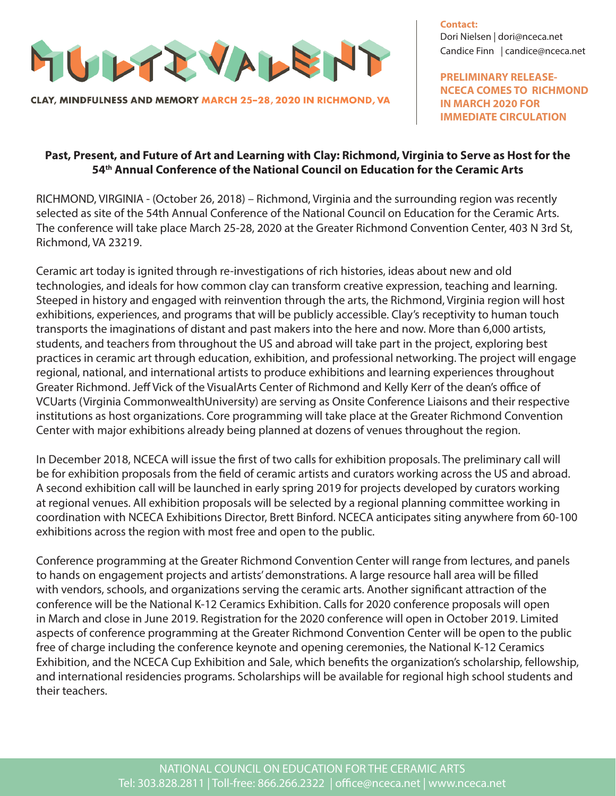

CLAY, MINDFULNESS AND MEMORY MARCH 25-28, 2020 IN RICHMOND, VA

**Contact:** Dori Nielsen | dori@nceca.net Candice Finn | candice@nceca.net

**PRELIMINARY RELEASE-NCECA COMES TO RICHMOND IN MARCH 2020 FOR IMMEDIATE CIRCULATION**

## **Past, Present, and Future of Art and Learning with Clay: Richmond, Virginia to Serve as Host for the 54th Annual Conference of the National Council on Education for the Ceramic Arts**

RICHMOND, VIRGINIA - (October 26, 2018) – Richmond, Virginia and the surrounding region was recently selected as site of the 54th Annual Conference of the National Council on Education for the Ceramic Arts. The conference will take place March 25-28, 2020 at the Greater Richmond Convention Center, 403 N 3rd St, Richmond, VA 23219.

Ceramic art today is ignited through re-investigations of rich histories, ideas about new and old technologies, and ideals for how common clay can transform creative expression, teaching and learning. Steeped in history and engaged with reinvention through the arts, the Richmond, Virginia region will host exhibitions, experiences, and programs that will be publicly accessible. Clay's receptivity to human touch transports the imaginations of distant and past makers into the here and now. More than 6,000 artists, students, and teachers from throughout the US and abroad will take part in the project, exploring best practices in ceramic art through education, exhibition, and professional networking. The project will engage regional, national, and international artists to produce exhibitions and learning experiences throughout Greater Richmond. Jeff Vick of the VisualArts Center of Richmond and Kelly Kerr of the dean's office of VCUarts (Virginia CommonwealthUniversity) are serving as Onsite Conference Liaisons and their respective institutions as host organizations. Core programming will take place at the Greater Richmond Convention Center with major exhibitions already being planned at dozens of venues throughout the region.

In December 2018, NCECA will issue the first of two calls for exhibition proposals. The preliminary call will be for exhibition proposals from the field of ceramic artists and curators working across the US and abroad. A second exhibition call will be launched in early spring 2019 for projects developed by curators working at regional venues. All exhibition proposals will be selected by a regional planning committee working in coordination with NCECA Exhibitions Director, Brett Binford. NCECA anticipates siting anywhere from 60-100 exhibitions across the region with most free and open to the public.

Conference programming at the Greater Richmond Convention Center will range from lectures, and panels to hands on engagement projects and artists' demonstrations. A large resource hall area will be filled with vendors, schools, and organizations serving the ceramic arts. Another significant attraction of the conference will be the National K-12 Ceramics Exhibition. Calls for 2020 conference proposals will open in March and close in June 2019. Registration for the 2020 conference will open in October 2019. Limited aspects of conference programming at the Greater Richmond Convention Center will be open to the public free of charge including the conference keynote and opening ceremonies, the National K-12 Ceramics Exhibition, and the NCECA Cup Exhibition and Sale, which benefits the organization's scholarship, fellowship, and international residencies programs. Scholarships will be available for regional high school students and their teachers.